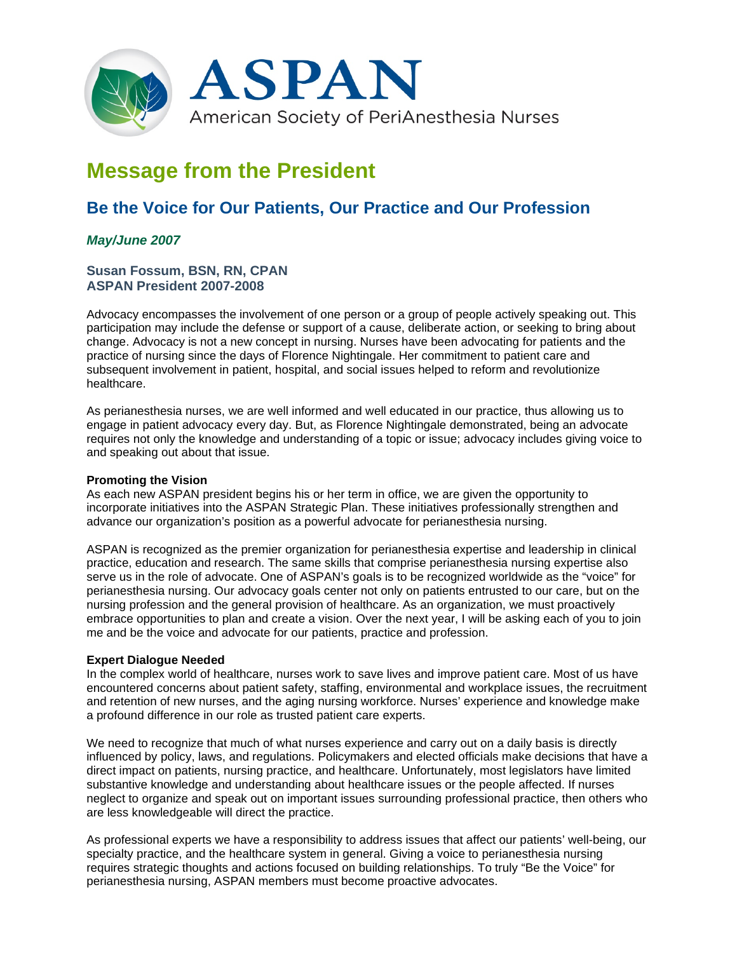

# **Message from the President**

# **Be the Voice for Our Patients, Our Practice and Our Profession**

## *May/June 2007*

### **Susan Fossum, BSN, RN, CPAN ASPAN President 2007-2008**

Advocacy encompasses the involvement of one person or a group of people actively speaking out. This participation may include the defense or support of a cause, deliberate action, or seeking to bring about change. Advocacy is not a new concept in nursing. Nurses have been advocating for patients and the practice of nursing since the days of Florence Nightingale. Her commitment to patient care and subsequent involvement in patient, hospital, and social issues helped to reform and revolutionize healthcare.

As perianesthesia nurses, we are well informed and well educated in our practice, thus allowing us to engage in patient advocacy every day. But, as Florence Nightingale demonstrated, being an advocate requires not only the knowledge and understanding of a topic or issue; advocacy includes giving voice to and speaking out about that issue.

#### **Promoting the Vision**

As each new ASPAN president begins his or her term in office, we are given the opportunity to incorporate initiatives into the ASPAN Strategic Plan. These initiatives professionally strengthen and advance our organization's position as a powerful advocate for perianesthesia nursing.

ASPAN is recognized as the premier organization for perianesthesia expertise and leadership in clinical practice, education and research. The same skills that comprise perianesthesia nursing expertise also serve us in the role of advocate. One of ASPAN's goals is to be recognized worldwide as the "voice" for perianesthesia nursing. Our advocacy goals center not only on patients entrusted to our care, but on the nursing profession and the general provision of healthcare. As an organization, we must proactively embrace opportunities to plan and create a vision. Over the next year, I will be asking each of you to join me and be the voice and advocate for our patients, practice and profession.

#### **Expert Dialogue Needed**

In the complex world of healthcare, nurses work to save lives and improve patient care. Most of us have encountered concerns about patient safety, staffing, environmental and workplace issues, the recruitment and retention of new nurses, and the aging nursing workforce. Nurses' experience and knowledge make a profound difference in our role as trusted patient care experts.

We need to recognize that much of what nurses experience and carry out on a daily basis is directly influenced by policy, laws, and regulations. Policymakers and elected officials make decisions that have a direct impact on patients, nursing practice, and healthcare. Unfortunately, most legislators have limited substantive knowledge and understanding about healthcare issues or the people affected. If nurses neglect to organize and speak out on important issues surrounding professional practice, then others who are less knowledgeable will direct the practice.

As professional experts we have a responsibility to address issues that affect our patients' well-being, our specialty practice, and the healthcare system in general. Giving a voice to perianesthesia nursing requires strategic thoughts and actions focused on building relationships. To truly "Be the Voice" for perianesthesia nursing, ASPAN members must become proactive advocates.